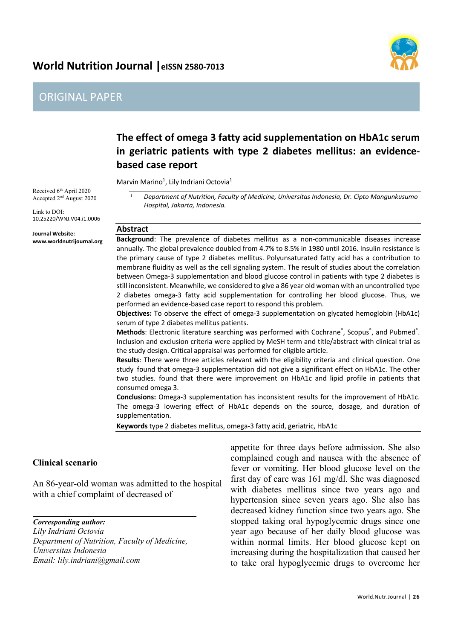## World Nutrition Journal | eISSN 2580-7013



## ORIGINAL PAPER

# **The effect of omega 3 fatty acid supplementation on HbA1c serum in geriatric patients with type 2 diabetes mellitus: an evidencebased case report**

Marvin Marino<sup>1</sup>, Lily Indriani Octovia<sup>1</sup>

Received 6<sup>th</sup> April 2020 Accepted 2<sup>nd</sup> August 2020

Link to DOI: 10.25220/WNJ.V04.i1.0006

**Journal Website: www.worldnutrijournal.org** *1. Department of Nutrition, Faculty of Medicine, Universitas Indonesia, Dr. Cipto Mangunkusumo Hospital, Jakarta, Indonesia.*

#### **Abstract**

**Background**: The prevalence of diabetes mellitus as a non-communicable diseases increase annually. The global prevalence doubled from 4.7% to 8.5% in 1980 until 2016. Insulin resistance is the primary cause of type 2 diabetes mellitus. Polyunsaturated fatty acid has a contribution to membrane fluidity as well as the cell signaling system. The result of studies about the correlation between Omega-3 supplementation and blood glucose control in patients with type 2 diabetes is still inconsistent. Meanwhile, we considered to give a 86 year old woman with an uncontrolled type 2 diabetes omega-3 fatty acid supplementation for controlling her blood glucose. Thus, we performed an evidence-based case report to respond this problem.

**Objectives:** To observe the effect of omega-3 supplementation on glycated hemoglobin (HbA1c) serum of type 2 diabetes mellitus patients.

Methods: Electronic literature searching was performed with Cochrane®, Scopus®, and Pubmed®. Inclusion and exclusion criteria were applied by MeSH term and title/abstract with clinical trial as the study design. Critical appraisal was performed for eligible article.

**Results**: There were three articles relevant with the eligibility criteria and clinical question. One study found that omega-3 supplementation did not give a significant effect on HbA1c. The other two studies. found that there were improvement on HbA1c and lipid profile in patients that consumed omega 3.

**Conclusions:** Omega-3 supplementation has inconsistent results for the improvement of HbA1c. The omega-3 lowering effect of HbA1c depends on the source, dosage, and duration of supplementation.

**Keywords** type 2 diabetes mellitus, omega-3 fatty acid, geriatric, HbA1c

### **Clinical scenario**

An 86-year-old woman was admitted to the hospital with a chief complaint of decreased of

*Corresponding author: Lily Indriani Octovia Department of Nutrition, Faculty of Medicine, Universitas Indonesia Email: lily.indriani@gmail.com*

appetite for three days before admission. She also complained cough and nausea with the absence of fever or vomiting. Her blood glucose level on the first day of care was 161 mg/dl. She was diagnosed with diabetes mellitus since two years ago and hypertension since seven years ago. She also has decreased kidney function since two years ago. She stopped taking oral hypoglycemic drugs since one year ago because of her daily blood glucose was within normal limits. Her blood glucose kept on increasing during the hospitalization that caused her to take oral hypoglycemic drugs to overcome her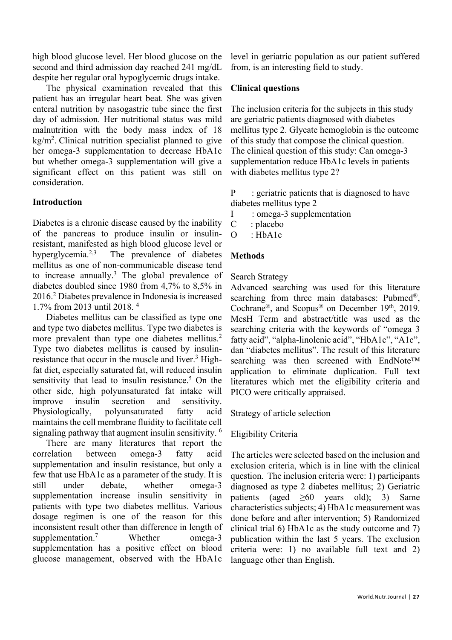high blood glucose level. Her blood glucose on the second and third admission day reached 241 mg/dL despite her regular oral hypoglycemic drugs intake.

The physical examination revealed that this patient has an irregular heart beat. She was given enteral nutrition by nasogastric tube since the first day of admission. Her nutritional status was mild malnutrition with the body mass index of 18 kg/m2 . Clinical nutrition specialist planned to give her omega-3 supplementation to decrease HbA1c but whether omega-3 supplementation will give a significant effect on this patient was still on consideration.

## **Introduction**

Diabetes is a chronic disease caused by the inability of the pancreas to produce insulin or insulinresistant, manifested as high blood glucose level or hyperglycemia.<sup>2,3</sup> The prevalence of diabetes mellitus as one of non-communicable disease tend to increase annually.3 The global prevalence of diabetes doubled since 1980 from 4,7% to 8,5% in 2016.2 Diabetes prevalence in Indonesia is increased 1.7% from 2013 until 2018. 4

Diabetes mellitus can be classified as type one and type two diabetes mellitus. Type two diabetes is more prevalent than type one diabetes mellitus.<sup>2</sup> Type two diabetes mellitus is caused by insulinresistance that occur in the muscle and liver.<sup>3</sup> Highfat diet, especially saturated fat, will reduced insulin sensitivity that lead to insulin resistance.<sup>5</sup> On the other side, high polyunsaturated fat intake will improve insulin secretion and sensitivity. Physiologically, polyunsaturated fatty acid maintains the cell membrane fluidity to facilitate cell signaling pathway that augment insulin sensitivity. <sup>6</sup>

There are many literatures that report the correlation between omega-3 fatty acid supplementation and insulin resistance, but only a few that use HbA1c as a parameter of the study. It is still under debate, whether omega-3 supplementation increase insulin sensitivity in patients with type two diabetes mellitus. Various dosage regimen is one of the reason for this inconsistent result other than difference in length of supplementation.<sup>7</sup> Whether omega-3 supplementation has a positive effect on blood glucose management, observed with the HbA1c

level in geriatric population as our patient suffered from, is an interesting field to study.

### **Clinical questions**

The inclusion criteria for the subjects in this study are geriatric patients diagnosed with diabetes mellitus type 2. Glycate hemoglobin is the outcome of this study that compose the clinical question. The clinical question of this study: Can omega-3 supplementation reduce HbA1c levels in patients with diabetes mellitus type 2?

P : geriatric patients that is diagnosed to have diabetes mellitus type 2

I : omega-3 supplementation

- C : placebo
- O : HbA1c

## **Methods**

#### Search Strategy

Advanced searching was used for this literature searching from three main databases: Pubmed®, Cochrane®, and Scopus® on December 19<sup>th</sup>, 2019. MesH Term and abstract/title was used as the searching criteria with the keywords of "omega 3 fatty acid", "alpha-linolenic acid", "HbA1c", "A1c", dan "diabetes mellitus". The result of this literature searching was then screened with EndNote<sup>™</sup> application to eliminate duplication. Full text literatures which met the eligibility criteria and PICO were critically appraised.

Strategy of article selection

#### Eligibility Criteria

The articles were selected based on the inclusion and exclusion criteria, which is in line with the clinical question. The inclusion criteria were: 1) participants diagnosed as type 2 diabetes mellitus; 2) Geriatric patients (aged ≥60 years old); 3) Same characteristics subjects; 4) HbA1c measurement was done before and after intervention; 5) Randomized clinical trial 6) HbA1c as the study outcome and 7) publication within the last 5 years. The exclusion criteria were: 1) no available full text and 2) language other than English.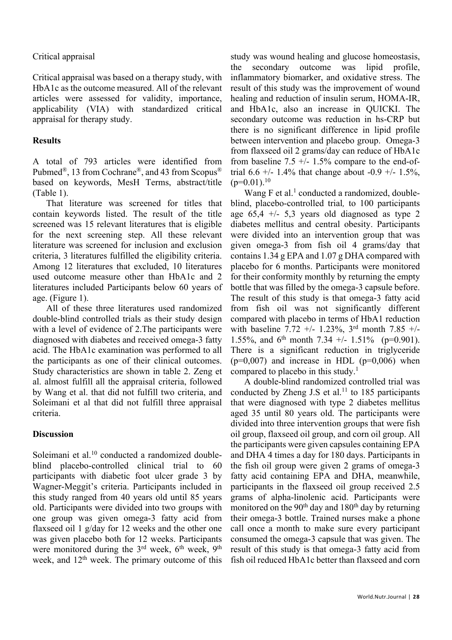#### Critical appraisal

Critical appraisal was based on a therapy study, with HbA1c as the outcome measured. All of the relevant articles were assessed for validity, importance, applicability (VIA) with standardized critical appraisal for therapy study.

#### **Results**

A total of 793 articles were identified from Pubmed®, 13 from Cochrane®, and 43 from Scopus® based on keywords, MesH Terms, abstract/title (Table 1).

That literature was screened for titles that contain keywords listed. The result of the title screened was 15 relevant literatures that is eligible for the next screening step. All these relevant literature was screened for inclusion and exclusion criteria, 3 literatures fulfilled the eligibility criteria. Among 12 literatures that excluded, 10 literatures used outcome measure other than HbA1c and 2 literatures included Participants below 60 years of age. (Figure 1).

All of these three literatures used randomized double-blind controlled trials as their study design with a level of evidence of 2.The participants were diagnosed with diabetes and received omega-3 fatty acid. The HbA1c examination was performed to all the participants as one of their clinical outcomes. Study characteristics are shown in table 2. Zeng et al. almost fulfill all the appraisal criteria, followed by Wang et al. that did not fulfill two criteria, and Soleimani et al that did not fulfill three appraisal criteria.

#### **Discussion**

Soleimani et al.<sup>10</sup> conducted a randomized doubleblind placebo-controlled clinical trial to 60 participants with diabetic foot ulcer grade 3 by Wagner-Meggit's criteria. Participants included in this study ranged from 40 years old until 85 years old. Participants were divided into two groups with one group was given omega-3 fatty acid from flaxseed oil 1 g/day for 12 weeks and the other one was given placebo both for 12 weeks. Participants were monitored during the  $3<sup>rd</sup>$  week,  $6<sup>th</sup>$  week,  $9<sup>th</sup>$ week, and  $12<sup>th</sup>$  week. The primary outcome of this

study was wound healing and glucose homeostasis, the secondary outcome was lipid profile, inflammatory biomarker, and oxidative stress. The result of this study was the improvement of wound healing and reduction of insulin serum, HOMA-IR, and HbA1c, also an increase in QUICKI. The secondary outcome was reduction in hs-CRP but there is no significant difference in lipid profile between intervention and placebo group. Omega-3 from flaxseed oil 2 grams/day can reduce of HbA1c from baseline 7.5  $+/- 1.5\%$  compare to the end-oftrial 6.6 +/- 1.4% that change about -0.9 +/- 1.5%,  $(p=0.01).^{10}$ 

Wang F et al.<sup>1</sup> conducted a randomized, doubleblind, placebo-controlled trial*,* to 100 participants age  $65.4$  +/- 5.3 years old diagnosed as type 2 diabetes mellitus and central obesity. Participants were divided into an intervention group that was given omega-3 from fish oil 4 grams/day that contains 1.34 g EPA and 1.07 g DHA compared with placebo for 6 months. Participants were monitored for their conformity monthly by returning the empty bottle that was filled by the omega-3 capsule before. The result of this study is that omega-3 fatty acid from fish oil was not significantly different compared with placebo in terms of HbA1 reduction with baseline 7.72 +/- 1.23%,  $3<sup>rd</sup>$  month 7.85 +/-1.55%, and 6<sup>th</sup> month 7.34 +/- 1.51% (p=0.901). There is a significant reduction in triglyceride  $(p=0.007)$  and increase in HDL  $(p=0.006)$  when compared to placebo in this study.<sup>1</sup>

A double-blind randomized controlled trial was conducted by Zheng J.S et al.<sup>11</sup> to 185 participants that were diagnosed with type 2 diabetes mellitus aged 35 until 80 years old. The participants were divided into three intervention groups that were fish oil group, flaxseed oil group, and corn oil group. All the participants were given capsules containing EPA and DHA 4 times a day for 180 days. Participants in the fish oil group were given 2 grams of omega-3 fatty acid containing EPA and DHA, meanwhile, participants in the flaxseed oil group received 2.5 grams of alpha-linolenic acid. Participants were monitored on the 90<sup>th</sup> day and 180<sup>th</sup> day by returning their omega-3 bottle. Trained nurses make a phone call once a month to make sure every participant consumed the omega-3 capsule that was given. The result of this study is that omega-3 fatty acid from fish oil reduced HbA1c better than flaxseed and corn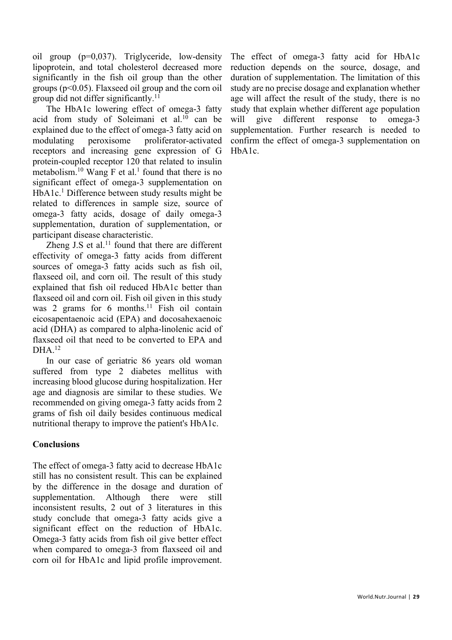oil group (p=0,037). Triglyceride, low-density lipoprotein, and total cholesterol decreased more significantly in the fish oil group than the other groups ( $p<0.05$ ). Flaxseed oil group and the corn oil group did not differ significantly.<sup>11</sup>

The HbA1c lowering effect of omega-3 fatty acid from study of Soleimani et al. $10$  can be explained due to the effect of omega-3 fatty acid on modulating peroxisome proliferator-activated receptors and increasing gene expression of G protein-coupled receptor 120 that related to insulin metabolism.<sup>10</sup> Wang  $F$  et al.<sup>1</sup> found that there is no significant effect of omega-3 supplementation on HbA1c.<sup>1</sup> Difference between study results might be related to differences in sample size, source of omega-3 fatty acids, dosage of daily omega-3 supplementation, duration of supplementation, or participant disease characteristic.

Zheng J.S et al. $^{11}$  found that there are different effectivity of omega-3 fatty acids from different sources of omega-3 fatty acids such as fish oil, flaxseed oil, and corn oil. The result of this study explained that fish oil reduced HbA1c better than flaxseed oil and corn oil. Fish oil given in this study was 2 grams for 6 months.<sup>11</sup> Fish oil contain eicosapentaenoic acid (EPA) and docosahexaenoic acid (DHA) as compared to alpha-linolenic acid of flaxseed oil that need to be converted to EPA and DHA.12

In our case of geriatric 86 years old woman suffered from type 2 diabetes mellitus with increasing blood glucose during hospitalization. Her age and diagnosis are similar to these studies. We recommended on giving omega-3 fatty acids from 2 grams of fish oil daily besides continuous medical nutritional therapy to improve the patient's HbA1c.

## **Conclusions**

The effect of omega-3 fatty acid to decrease HbA1c still has no consistent result. This can be explained by the difference in the dosage and duration of supplementation. Although there were still inconsistent results, 2 out of 3 literatures in this study conclude that omega-3 fatty acids give a significant effect on the reduction of HbA1c. Omega-3 fatty acids from fish oil give better effect when compared to omega-3 from flaxseed oil and corn oil for HbA1c and lipid profile improvement.

The effect of omega-3 fatty acid for HbA1c reduction depends on the source, dosage, and duration of supplementation. The limitation of this study are no precise dosage and explanation whether age will affect the result of the study, there is no study that explain whether different age population will give different response to omega-3 supplementation. Further research is needed to confirm the effect of omega-3 supplementation on HbA1c.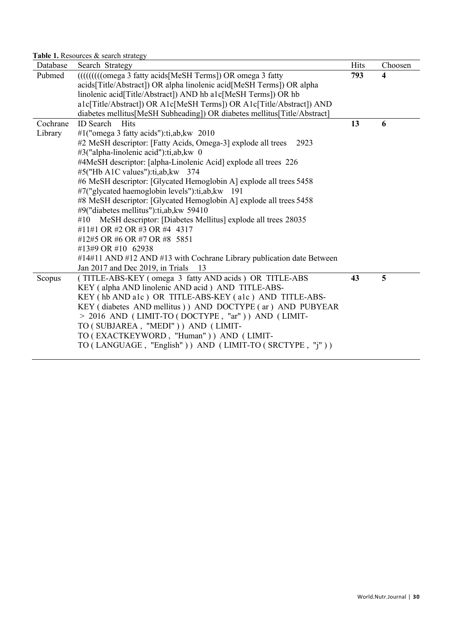**Table 1.** Resources & search strategy

| Database | Search Strategy                                                          | Hits | Choosen |
|----------|--------------------------------------------------------------------------|------|---------|
| Pubmed   | (((((((((omega 3 fatty acids[MeSH Terms]) OR omega 3 fatty               | 793  | 4       |
|          | acids[Title/Abstract]) OR alpha linolenic acid[MeSH Terms]) OR alpha     |      |         |
|          | linolenic acid[Title/Abstract]) AND hb a1c[MeSH Terms]) OR hb            |      |         |
|          | a1c[Title/Abstract]) OR A1c[MeSH Terms]) OR A1c[Title/Abstract]) AND     |      |         |
|          | diabetes mellitus[MeSH Subheading]) OR diabetes mellitus[Title/Abstract] |      |         |
| Cochrane | <b>ID</b> Search<br>Hits                                                 | 13   | 6       |
| Library  | #1("omega 3 fatty acids"):ti,ab, kw 2010                                 |      |         |
|          | #2 MeSH descriptor: [Fatty Acids, Omega-3] explode all trees<br>2923     |      |         |
|          | #3("alpha-linolenic acid"):ti,ab,kw 0                                    |      |         |
|          | #4MeSH descriptor: [alpha-Linolenic Acid] explode all trees 226          |      |         |
|          | #5("Hb A1C values"):ti,ab, kw 374                                        |      |         |
|          | #6 MeSH descriptor: [Glycated Hemoglobin A] explode all trees 5458       |      |         |
|          | #7("glycated haemoglobin levels"):ti,ab, kw 191                          |      |         |
|          | #8 MeSH descriptor: [Glycated Hemoglobin A] explode all trees 5458       |      |         |
|          | #9("diabetes mellitus"):ti,ab, kw 59410                                  |      |         |
|          | MeSH descriptor: [Diabetes Mellitus] explode all trees 28035<br>#10      |      |         |
|          | #11#1 OR #2 OR #3 OR #4 4317                                             |      |         |
|          | #12#5 OR #6 OR #7 OR #8 5851                                             |      |         |
|          | #13#9 OR #10 62938                                                       |      |         |
|          | #14#11 AND #12 AND #13 with Cochrane Library publication date Between    |      |         |
|          | Jan 2017 and Dec 2019, in Trials<br>-13                                  |      |         |
| Scopus   | (TITLE-ABS-KEY (omega 3 fatty AND acids ) OR TITLE-ABS                   | 43   | 5       |
|          | KEY (alpha AND linolenic AND acid) AND TITLE-ABS-                        |      |         |
|          | KEY (hb AND alc) OR TITLE-ABS-KEY (alc) AND TITLE-ABS-                   |      |         |
|          | KEY (diabetes AND mellitus)) AND DOCTYPE (ar) AND PUBYEAR                |      |         |
|          | $> 2016$ AND (LIMIT-TO (DOCTYPE, "ar")) AND (LIMIT-                      |      |         |
|          | TO (SUBJAREA, "MEDI")) AND (LIMIT-                                       |      |         |
|          | TO (EXACTKEYWORD, "Human")) AND (LIMIT-                                  |      |         |
|          | TO (LANGUAGE, "English")) AND (LIMIT-TO (SRCTYPE, "j"))                  |      |         |
|          |                                                                          |      |         |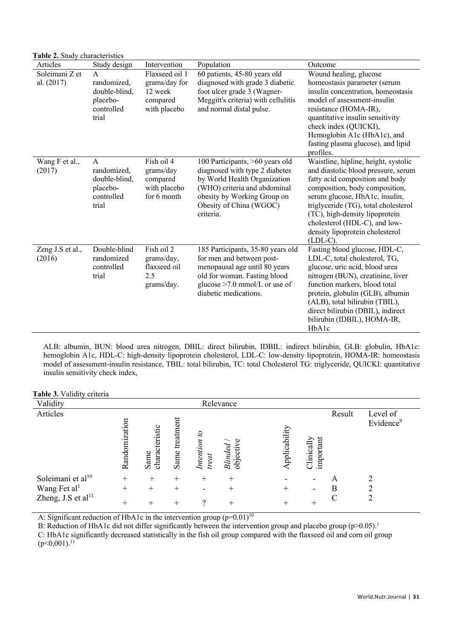| Articles                     | Study design                                                                    | Intervention                                                           | Population                                                                                                                                                                                               | Outcome                                                                                                                                                                                                                                                                                                                                         |
|------------------------------|---------------------------------------------------------------------------------|------------------------------------------------------------------------|----------------------------------------------------------------------------------------------------------------------------------------------------------------------------------------------------------|-------------------------------------------------------------------------------------------------------------------------------------------------------------------------------------------------------------------------------------------------------------------------------------------------------------------------------------------------|
| Soleimani Z et<br>al. (2017) | $\mathsf{A}$<br>randomized,<br>double-blind,<br>placebo-<br>controlled<br>trial | Flaxseed oil 1<br>grams/day for<br>12 week<br>compared<br>with placebo | $\overline{60}$ patients, 45-80 years old<br>diagnosed with grade 3 diabetic<br>foot ulcer grade 3 (Wagner-<br>Meggitt's criteria) with cellulitis<br>and normal distal pulse.                           | Wound healing, glucose<br>homeostasis parameter (serum<br>insulin concentration, homeostasis<br>model of assessment-insulin<br>resistance (HOMA-IR),<br>quantitative insulin sensitivity<br>check index (QUICKI),<br>Hemoglobin A1c (HbA1c), and<br>fasting plasma glucose), and lipid<br>profiles.                                             |
| Wang F et al.,<br>(2017)     | $\mathsf{A}$<br>randomized,<br>double-blind,<br>placebo-<br>controlled<br>trial | Fish oil 4<br>grams/day<br>compared<br>with placebo<br>for 6 month     | 100 Participants, >60 years old<br>diagnosed with type 2 diabetes<br>by World Health Organization<br>(WHO) criteria and abdominal<br>obesity by Working Group on<br>Obesity of China (WGOC)<br>criteria. | Waistline, hipline, height, systolic<br>and diastolic blood pressure, serum<br>fatty acid composition and body<br>composition, body composition,<br>serum glucose, HbA1c, insulin,<br>triglyceride (TG), total cholesterol<br>(TC), high-density lipoprotein<br>cholesterol (HDL-C), and low-<br>density lipoprotein cholesterol<br>$(LDL-C)$ . |
| Zeng J.S et al.,<br>(2016)   | Double-blind<br>randomized<br>controlled<br>trial                               | Fish oil 2<br>grams/day,<br>flaxseed oil<br>2.5<br>grams/day.          | 185 Participants, 35-80 years old<br>for men and between post-<br>menopausal age until 80 years<br>old for woman. Fasting blood<br>glucose $>7.0$ mmol/L or use of<br>diabetic medications.              | Fasting blood glucose, HDL-C,<br>LDL-C, total cholesterol, TG,<br>glucose, uric acid, blood urea<br>nitrogen (BUN), creatinine, liver<br>function markers, blood total<br>protein, globulin (GLB), albumin<br>(ALB), total bilirubin (TBIL),<br>direct bilirubin (DBIL), indirect<br>bilirubin (IDBIL), HOMA-IR,<br>HbA1c                       |

ALB: albumin, BUN: blood urea nitrogen, DBIL: direct bilirubin, IDBIL: indirect bilirubin, GLB: globulin, HbA1c: hemoglobin A1c, HDL-C: high-density lipoprotein cholesterol, LDL-C: low-density lipoprotein, HOMA-IR: homeostasis model of assessment-insulin resistance, TBIL: total bilirubin, TC: total Cholesterol TG: triglyceride, QUICKI: quantitative insulin sensitivity check index,

| Table 3. Validity criteria     |               |                        |                   |                       |                      |              |                         |        |                      |
|--------------------------------|---------------|------------------------|-------------------|-----------------------|----------------------|--------------|-------------------------|--------|----------------------|
| Validity                       |               |                        |                   |                       | Relevance            |              |                         |        |                      |
| Articles                       | Randomization | characteristic<br>Same | treatment<br>Same | Intention to<br>treat | objective<br>Blinded | pplicability | important<br>Clinically | Result | Level of<br>Evidence |
| Soleimani et al <sup>10</sup>  | $+$           | $^{+}$                 | $^{+}$            | $^{+}$                | $^{+}$               |              |                         | А      |                      |
| Wang Fet al <sup>1</sup>       | $+$           | $+$                    | $^{+}$            |                       | $^{+}$               | $^{+}$       |                         | B      | ↑                    |
| Zheng, J.S et al <sup>11</sup> | $+$           | $^{+}$                 | $^{+}$            | $\overline{\cdot}$    | $^{+}$               | $^{+}$       | $^{+}$                  | C      | $\overline{2}$       |

A: Significant reduction of HbA1c in the intervention group  $(p=0.01)^{10}$ 

**Table 2.** Study characteristics

B: Reduction of HbA1c did not differ significantly between the intervention group and placebo group (p>0.05).<sup>1</sup>

C: HbA1c significantly decreased statistically in the fish oil group compared with the flaxseed oil and corn oil group  $(p<0,001).$ <sup>11</sup>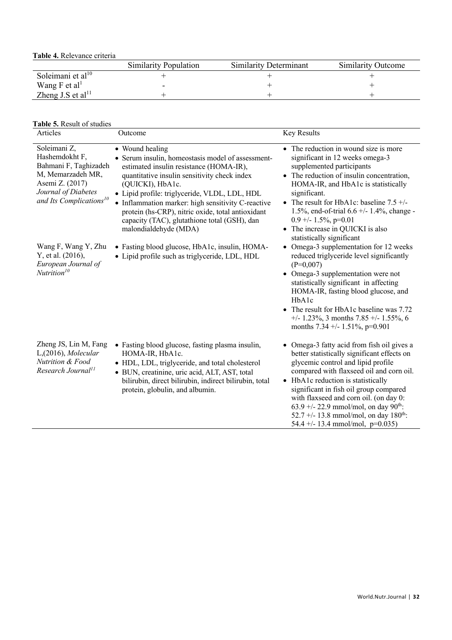**Table 4.** Relevance criteria

|                               | <b>Similarity Population</b> | <b>Similarity Determinant</b> | <b>Similarity Outcome</b> |
|-------------------------------|------------------------------|-------------------------------|---------------------------|
| Soleimani et al <sup>10</sup> |                              |                               |                           |
| Wang F et al <sup>1</sup>     |                              |                               |                           |
| Zheng J.S et al $^{11}$       |                              |                               |                           |

#### **Table 5.** Result of studies

| <b>THEO.</b> Result of studies<br>Articles                                                                                                                    | Outcome                                                                                                                                                                                                                                                                                                                                                                                                                  | Key Results                                                                                                                                                                                                                                                                                                                                                                                                                                      |
|---------------------------------------------------------------------------------------------------------------------------------------------------------------|--------------------------------------------------------------------------------------------------------------------------------------------------------------------------------------------------------------------------------------------------------------------------------------------------------------------------------------------------------------------------------------------------------------------------|--------------------------------------------------------------------------------------------------------------------------------------------------------------------------------------------------------------------------------------------------------------------------------------------------------------------------------------------------------------------------------------------------------------------------------------------------|
| Soleimani Z,<br>Hashemdokht F,<br>Bahmani F, Taghizadeh<br>M, Memarzadeh MR,<br>Asemi Z. (2017)<br>Journal of Diabetes<br>and Its Complications <sup>10</sup> | • Wound healing<br>• Serum insulin, homeostasis model of assessment-<br>estimated insulin resistance (HOMA-IR),<br>quantitative insulin sensitivity check index<br>(QUICKI), HbA1c.<br>· Lipid profile: triglyceride, VLDL, LDL, HDL<br>• Inflammation marker: high sensitivity C-reactive<br>protein (hs-CRP), nitric oxide, total antioxidant<br>capacity (TAC), glutathione total (GSH), dan<br>malondialdehyde (MDA) | • The reduction in wound size is more<br>significant in 12 weeks omega-3<br>supplemented participants<br>• The reduction of insulin concentration,<br>HOMA-IR, and HbA1c is statistically<br>significant.<br>• The result for HbA1c: baseline $7.5 +/-$<br>1.5%, end-of-trial $6.6 +/- 1.4%$ , change -<br>$0.9 +/- 1.5\%, p=0.01$<br>• The increase in QUICKI is also<br>statistically significant                                              |
| Wang F, Wang Y, Zhu<br>Y, et al. (2016),<br>European Journal of<br>Nutri <i>tion</i> <sup>10</sup>                                                            | • Fasting blood glucose, HbA1c, insulin, HOMA-<br>· Lipid profile such as triglyceride, LDL, HDL                                                                                                                                                                                                                                                                                                                         | • Omega-3 supplementation for 12 weeks<br>reduced triglyceride level significantly<br>$(P=0,007)$<br>• Omega-3 supplementation were not<br>statistically significant in affecting<br>HOMA-IR, fasting blood glucose, and<br>HbAlc<br>• The result for HbA1c baseline was 7.72<br>$+/- 1.23\%,$ 3 months 7.85 $+/- 1.55\%,$ 6<br>months $7.34 +/- 1.51\%$ , p=0.901                                                                               |
| Zheng JS, Lin M, Fang<br>L,(2016), Molecular<br>Nutrition & Food<br>Research Journal <sup>11</sup>                                                            | • Fasting blood glucose, fasting plasma insulin,<br>HOMA-IR, HbA1c.<br>• HDL, LDL, triglyceride, and total cholesterol<br>· BUN, creatinine, uric acid, ALT, AST, total<br>bilirubin, direct bilirubin, indirect bilirubin, total<br>protein, globulin, and albumin.                                                                                                                                                     | • Omega-3 fatty acid from fish oil gives a<br>better statistically significant effects on<br>glycemic control and lipid profile<br>compared with flaxseed oil and corn oil.<br>• HbA1c reduction is statistically<br>significant in fish oil group compared<br>with flaxseed and corn oil. (on day 0:<br>63.9 +/- 22.9 mmol/mol, on day 90 <sup>th</sup> :<br>52.7 +/- 13.8 mmol/mol, on day $180^{th}$ :<br>54.4 +/- 13.4 mmol/mol, $p=0.035$ ) |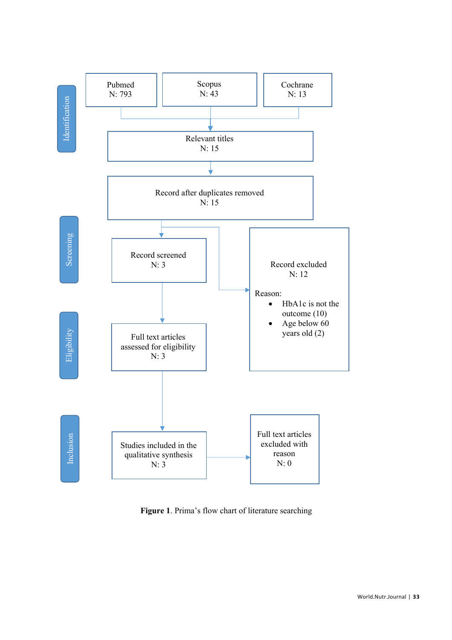

**Figure 1**. Prima's flow chart of literature searching